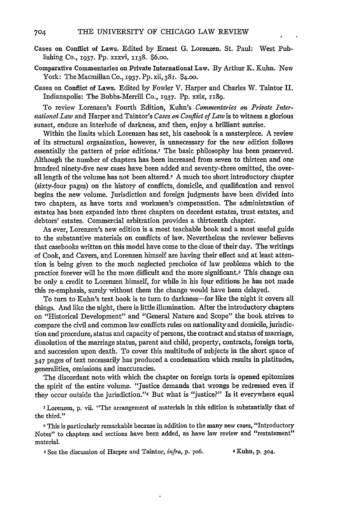- Cases on Conflict of Laws. Edited by Ernest **G.** Lorenzen. St. Paul: West Publishing Co., 1937. Pp. xxxvi, **1138.** \$6.oo.
- Comparative Commentaries on Private International Law. **By** Arthur K. Kuhn. New York: The Macmillan Co., **1937. PP.** xii, 381. \$4.00.
- Cases on Conflict of Laws. Edited by Fowler V. Harper and Charles W. Taintor II. Indianapolis: The Bobbs-Merrill Co., **1937.** Pp. xxix, 1z89.

To review Lorenzen's Fourth Edition, Kuhn's Commentaries on Private Inter*national Law* and Harper and Taintor's *Cases ot Conflict of Law* is to witness a glorious sunset, endure an interlude of darkness, and then, enjoy a brilliant sunrise.

Within the limits which Lorenzen has set, his casebook is a masterpiece. A review of its structural organization, however, is unnecessary for the new edition follows essentially the pattern of prior editions.' The basic philosophy has been preserved. Although the number of chapters has been increased from seven to thirteen and one hundred ninety-five new cases have been added and seventy-three omitted, the overall length of the volume has not been altered.2 A much too short introductory chapter (sixty-four pages) on the history of conflicts, domicile, and qualification and renvoi begins the new volume. Jurisdiction and foreign judgments have been divided into two chapters, as have torts and workmen's compensation. The administration of estates has been expanded into three chapters on decedent estates, trust estates, and debtors' estates. Commercial arbitration provides a thirteenth chapter.

As ever, Lorenzen's new edition is a most teachable book and a most useful guide to the substantive materials on conflicts of law. Nevertheless the reviewer believes that casebooks written on this model have come to the close of their day. The writings of Cook, and Cavers, and Lorenzen himself are having their effect and at least attention is being given to the much neglected prechoice of law problems which to the practice forever will be the more difficult and the more significant.3 This change can be only a credit to Lorenzen himself, for while in his four editions he has not made this re-emphasis, surely without them the change would have been delayed.

To turn to Kuhn's text book is to turn to darkness-for like the night it covers all things. And like the night, there is little illumination. After the introductory chapters on "Historical Development" and "General Nature and Scope" the book strives to compare the civil and common law conflicts rules on nationality and domicile, jurisdiction and procedure, status and capacity of persons, the contract and status of marriage, dissolution of the marriage status, parent and child, property, contracts, foreign torts, and succession upon death. To cover this multitude of subjects in the short space of 347 pages of text necessarily has produced a condensation which results in platitudes, generalities, omissions and inaccuracies.

The discordant note with which the chapter on foreign torts is opened epitomizes the spirit of the entire volume. "Justice demands that wrongs be redressed even if they occur outside the jurisdiction."4 But what is "justice?" Is it everywhere equal

**I** Lorenzen, p. vii. "The arrangement of materials in this edition is substantially that of the third."

2 This is particularly remarkable because in addition to the many new cases, "Introductory Notes" to chapters and sections have been added, as have law review and "restatement" material.

**3** See the discussion of Harper and Taintor, *infra,* p. 706. 4 Kuhn, p. 304.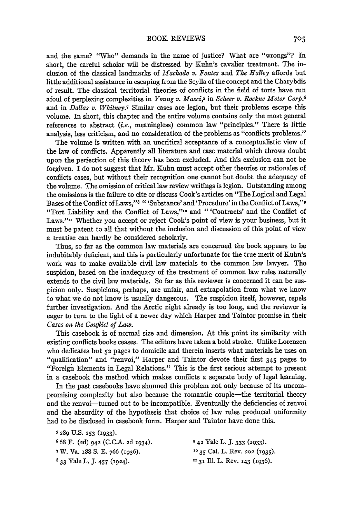and the same? "Who" demands in the name of justice? What are "wrongs"? In short, the careful scholar will be distressed by Kuhn's cavalier treatment. The inclusion of the classical landmarks of *Machado* v. *Fontes* and *The Halley* affords but little additional assistance in escaping from the Scylla of the concept and the Charybdis of result. The classical territorial theories of conflicts in the field of torts have run afoul of perplexing complexities in *Young v. Masci,S* in *Scheer v. Rockne Motor Corp.6* and in *Dallas* v. *Whitney.7* Similar cases are legion, but their problems escape this volume. In short, this chapter and the entire volume contains only the most general references to abstract *(i.e.,* meaningless) common law "principles." There is little analysis, less criticism, and no consideration of the problems as "conflicts problems."

The volume is written with an uncritical acceptance of a conceptualistic view of the law of conflicts. Apparently all literature and case material which throws doubt upon the perfection of this theory has been excluded. And this exclusion can not be forgiven. I do not suggest that Mr. Kuhn must accept other theories or rationales of conflicts cases, but without their recognition one cannot but doubt the adequacy of the volume. The omission of critical law review writings is legion. Outstanding among the omissions is the failure to cite or discuss Cook's articles on "The Logical and Legal Bases of the Conflict of Laws,"8 " 'Substance' and 'Procedure' in the Conflict of Laws,"9 "Tort Liability and the Conflict of Laws,"<sup>10</sup> and "'Contracts' and the Conflict of Laws."<sup>II</sup> Whether you accept or reject Cook's point of view is your business, but it must be patent to all that without the inclusion and discussion of this point of view a treatise can hardly be considered scholarly.

Thus, so far as the common law materials are concerned the book appears to be indubitably deficient, and this is particularly unfortunate for the true merit of Kuhn's work was to make available civil law materials to the common law lawyer. The suspicion, based on the inadequacy of the treatment of common law rules naturally extends to the civil law materials. So far as this reviewer is concerned it can be suspicion only. Suspicions, perhaps, are unfair, and extrapolation from what we know to what we do not know is usually dangerous. The suspicion itself, however, repels further investigation. And the Arctic night already is too long, and the reviewer is eager to turn to the light of a newer day which Harper and Taintor promise in their *Cases on the Conflict of Law.*

This casebook is of normal size and dimension. At this point its similarity with existing conflicts books ceases. The editors have taken a bold stroke. Unlike Lorenzen who dedicates but **52** pages to domicile and therein inserts what materials he uses on "qualification" and "renvoi," Harper and Taintor devote their first *345* pages to "Foreign Elements in Legal Relations." This is the first serious attempt to present in a casebook the method which makes conflicts a separate body of legal learning.

In the past casebooks have shunned this problem not only because of its uncompromising complexity but also because the romantic couple-the territorial theory and the renvoi-turned out to be incompatible. Eventually the deficiencies of renvoi and the absurdity of the hypothesis that choice of law rules produced uniformity had to be disclosed in casebook form. Harper and Taintor have done this.

- *S* **289** U.S. **253** (1933).
- **6** 68 F. **(2d)** 942 (C.C.A. **2d** 1934). **9 42** Yale L. **J. 333** (1933).
- 
- 
- **7W.** Va. 188 S. E. 766 (1936). **'0 35** Cal. L. Rev. **202 (1935). 8 33** Yale L. **J.** 457 (1924). **131** Ill. L. Rev. 143 (1936).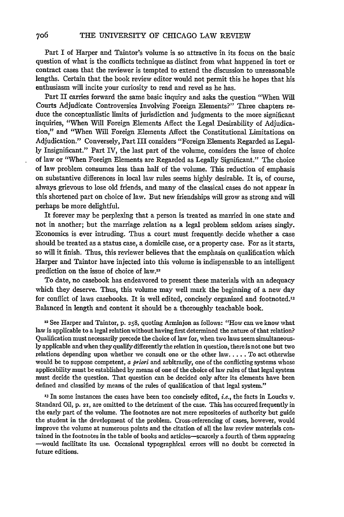Part I of Harper and Taintor's volume is so attractive in its focus on the basic question of what is the conflicts technique as distinct from what happened in tort or contract cases that the reviewer is tempted to extend the discussion to unreasonable lengths. Certain that the book review editor would not permit this he hopes that his enthusiasm will incite your curiosity to read and revel as he has.

Part II carries forward the same basic inquiry and asks the question "When *Will* Courts Adjudicate Controversies Involving Foreign Elements?" Three chapters reduce the conceptualistic limits of jurisdiction and judgments to the more significant inquiries, "When Will Foreign Elements Affect the Legal Desirability of Adjudication," and "When Will Foreign Elements Affect the Constitutional Limitations on Adjudication." Conversely, Part III considers "Foreign Elements Regarded as Legally Insignificant." Part IV, the last part of the volume, considers the issue of choice of law or "When Foreign Elements are Regarded as Legally Significant." The choice of law problem consumes less than half of the volume. This reduction of emphasis on substantive differences in local law rules seems highly desirable. It is, of course, always grievous to lose old friends, and many of the classical cases do not appear in this shortened part on choice of law. But new friendships will grow as strong and will perhaps be more delightful.

It forever may be perplexing that a person is treated as married in one state and not in another; but the marriage relation as a legal problem seldom arises singly. Economics is ever intruding. Thus a court must frequently decide whether a case should be treated as a status case, a domicile case, or a property case. For as it starts, so will it finish. Thus, this reviewer believes that the emphasis on qualification which Harper and Taintor have injected into this volume is indispensable to an intelligent prediction on the issue of choice of law."2

To date, no casebook has endeavored to present these materials with an adequacy which they deserve. Thus, this volume may well mark the beginning of a new day for conflict of laws casebooks. It is well edited, concisely organized and footnoted.'3 Balanced in length and content it should be a thoroughly teachable book.

12 See Harper and Taintor, p. **258,** quoting Arminjon as follows: "How can we know what law is applicable to a legal relation without having first determined the nature of that relation? Qualification must necessarily precede the choice of law for, when two laws seem simultaneous**ly** applicable and when they qualify differently the relation in question, there is not one but two relations depending upon whether we consult one or the other law **.....** To act otherwise would be to suppose competent, *a priori* and arbitrarily, one of the conflicting systems whose applicability must be established by means of one of the choice of law rules of that legal system must decide the question. That question can be decided only after its elements have been defined and classified by means of the rules of qualification of that legal system."

**'3** In some instances the cases have been too concisely edited, *i.e.,* the facts in Loucks v. Standard Oil, p. **21,** are omitted to the detriment of the case. This has occurred frequently in the early part of the volume. The footnotes are not mere repositories of authority but guide the student in the development of the problem. Cross-referencing of cases, however, would improve the volume at numerous points and the citation of all the law review materials con- tained in the footnotes in the table of books and articles-scarcely a fourth of them appearing -would facilitate its use. Occasional typographical errors will no doubt be corrected in future editions.

706